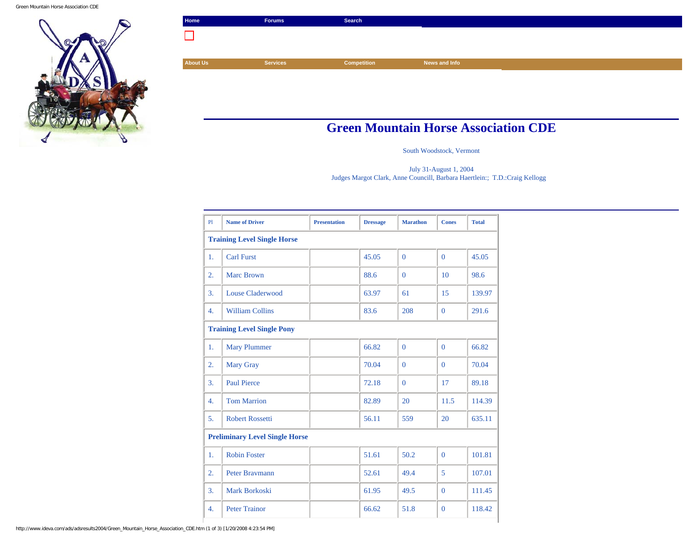

| Home            | Forums          | Search      |               |
|-----------------|-----------------|-------------|---------------|
|                 |                 |             |               |
|                 |                 |             |               |
| <b>About Us</b> | <b>Services</b> | Competition | News and Info |
|                 |                 |             |               |
|                 |                 |             |               |
|                 |                 |             |               |
|                 |                 |             |               |

## **Green Mountain Horse Association CDE**

South Woodstock, Vermont

July 31-August 1, 2004 Judges Margot Clark, Anne Councill, Barbara Haertlein:; T.D.:Craig Kellogg

| PI                                    | <b>Name of Driver</b>   | <b>Presentation</b> | <b>Dressage</b> | <b>Marathon</b> | <b>Cones</b> | <b>Total</b> |  |
|---------------------------------------|-------------------------|---------------------|-----------------|-----------------|--------------|--------------|--|
| <b>Training Level Single Horse</b>    |                         |                     |                 |                 |              |              |  |
| 1.                                    | <b>Carl Furst</b>       |                     | 45.05           | $\Omega$        | $\Omega$     | 45.05        |  |
| 2.                                    | <b>Marc Brown</b>       |                     | 88.6            | $\Omega$        | 10           | 98.6         |  |
| 3.                                    | <b>Louse Claderwood</b> |                     | 63.97           | 61              | 15           | 139.97       |  |
| 4.                                    | <b>William Collins</b>  |                     | 83.6            | 208             | $\mathbf{0}$ | 291.6        |  |
| <b>Training Level Single Pony</b>     |                         |                     |                 |                 |              |              |  |
| 1.                                    | <b>Mary Plummer</b>     |                     | 66.82           | $\mathbf{0}$    | $\mathbf{0}$ | 66.82        |  |
| 2.                                    | <b>Mary Gray</b>        |                     | 70.04           | $\Omega$        | $\Omega$     | 70.04        |  |
| 3.                                    | <b>Paul Pierce</b>      |                     | 72.18           | $\mathbf{0}$    | 17           | 89.18        |  |
| 4.                                    | <b>Tom Marrion</b>      |                     | 82.89           | 20              | 11.5         | 114.39       |  |
| 5.                                    | <b>Robert Rossetti</b>  |                     | 56.11           | 559             | 20           | 635.11       |  |
| <b>Preliminary Level Single Horse</b> |                         |                     |                 |                 |              |              |  |
| 1.                                    | <b>Robin Foster</b>     |                     | 51.61           | 50.2            | $\mathbf{0}$ | 101.81       |  |
| 2.                                    | <b>Peter Braymann</b>   |                     | 52.61           | 49.4            | 5            | 107.01       |  |
| 3.                                    | <b>Mark Borkoski</b>    |                     | 61.95           | 49.5            | $\mathbf{0}$ | 111.45       |  |
| 4.                                    | <b>Peter Trainor</b>    |                     | 66.62           | 51.8            | $\mathbf{0}$ | 118.42       |  |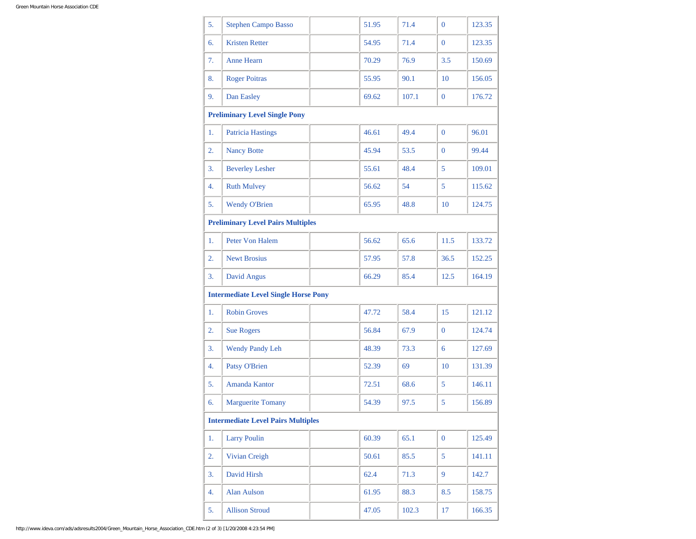| 5. | <b>Stephen Campo Basso</b>                  | 51.95 | 71.4  | $\overline{0}$ | 123.35 |
|----|---------------------------------------------|-------|-------|----------------|--------|
| 6. | <b>Kristen Retter</b>                       | 54.95 | 71.4  | $\mathbf{0}$   | 123.35 |
| 7. | <b>Anne Hearn</b>                           | 70.29 | 76.9  | 3.5            | 150.69 |
| 8. | <b>Roger Poitras</b>                        | 55.95 | 90.1  | 10             | 156.05 |
| 9. | Dan Easley                                  | 69.62 | 107.1 | $\mathbf{0}$   | 176.72 |
|    | <b>Preliminary Level Single Pony</b>        |       |       |                |        |
| 1. | <b>Patricia Hastings</b>                    | 46.61 | 49.4  | $\mathbf{0}$   | 96.01  |
| 2. | <b>Nancy Botte</b>                          | 45.94 | 53.5  | $\mathbf{0}$   | 99.44  |
| 3. | <b>Beverley Lesher</b>                      | 55.61 | 48.4  | 5              | 109.01 |
| 4. | <b>Ruth Mulvey</b>                          | 56.62 | 54    | 5              | 115.62 |
| 5. | <b>Wendy O'Brien</b>                        | 65.95 | 48.8  | 10             | 124.75 |
|    | <b>Preliminary Level Pairs Multiples</b>    |       |       |                |        |
| 1. | <b>Peter Von Halem</b>                      | 56.62 | 65.6  | 11.5           | 133.72 |
| 2. | <b>Newt Brosius</b>                         | 57.95 | 57.8  | 36.5           | 152.25 |
| 3. | David Angus                                 | 66.29 | 85.4  | 12.5           | 164.19 |
|    | <b>Intermediate Level Single Horse Pony</b> |       |       |                |        |
| 1. | <b>Robin Groves</b>                         | 47.72 | 58.4  | 15             | 121.12 |
| 2. | <b>Sue Rogers</b>                           | 56.84 | 67.9  | $\overline{0}$ | 124.74 |
| 3. | <b>Wendy Pandy Leh</b>                      | 48.39 | 73.3  | 6              | 127.69 |
| 4. | <b>Patsy O'Brien</b>                        | 52.39 | 69    | 10             | 131.39 |
| 5. | Amanda Kantor                               | 72.51 | 68.6  | 5              | 146.11 |
| 6. | Marguerite Tomany                           | 54.39 | 97.5  | 5              | 156.89 |
|    | <b>Intermediate Level Pairs Multiples</b>   |       |       |                |        |
| 1. | <b>Larry Poulin</b>                         | 60.39 | 65.1  | $\mathbf{0}$   | 125.49 |
| 2. | Vivian Creigh                               | 50.61 | 85.5  | 5              | 141.11 |
| 3. | David Hirsh                                 | 62.4  | 71.3  | $\overline{9}$ | 142.7  |
| 4. | <b>Alan Aulson</b>                          | 61.95 | 88.3  | 8.5            | 158.75 |
| 5. | <b>Allison Stroud</b>                       | 47.05 | 102.3 | 17             | 166.35 |